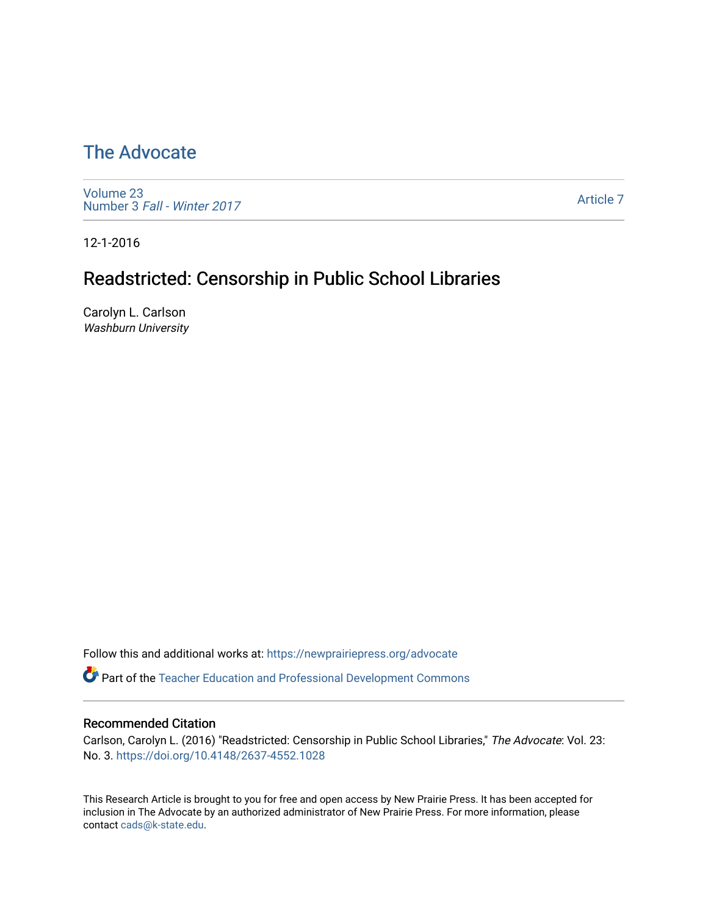# [The Advocate](https://newprairiepress.org/advocate)

[Volume 23](https://newprairiepress.org/advocate/vol23) Number 3 [Fall - Winter 2017](https://newprairiepress.org/advocate/vol23/iss3) 

[Article 7](https://newprairiepress.org/advocate/vol23/iss3/7) 

12-1-2016

# Readstricted: Censorship in Public School Libraries

Carolyn L. Carlson Washburn University

Follow this and additional works at: [https://newprairiepress.org/advocate](https://newprairiepress.org/advocate?utm_source=newprairiepress.org%2Fadvocate%2Fvol23%2Fiss3%2F7&utm_medium=PDF&utm_campaign=PDFCoverPages) 

**Part of the Teacher Education and Professional Development Commons** 

#### Recommended Citation

Carlson, Carolyn L. (2016) "Readstricted: Censorship in Public School Libraries," The Advocate: Vol. 23: No. 3. <https://doi.org/10.4148/2637-4552.1028>

This Research Article is brought to you for free and open access by New Prairie Press. It has been accepted for inclusion in The Advocate by an authorized administrator of New Prairie Press. For more information, please contact [cads@k-state.edu](mailto:cads@k-state.edu).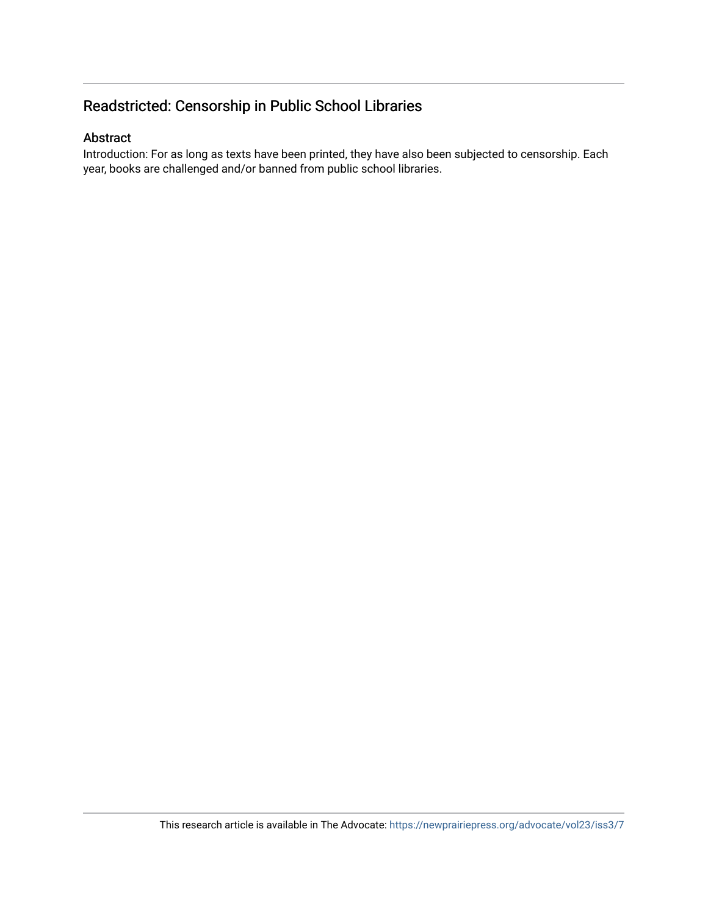# Readstricted: Censorship in Public School Libraries

#### Abstract

Introduction: For as long as texts have been printed, they have also been subjected to censorship. Each year, books are challenged and/or banned from public school libraries.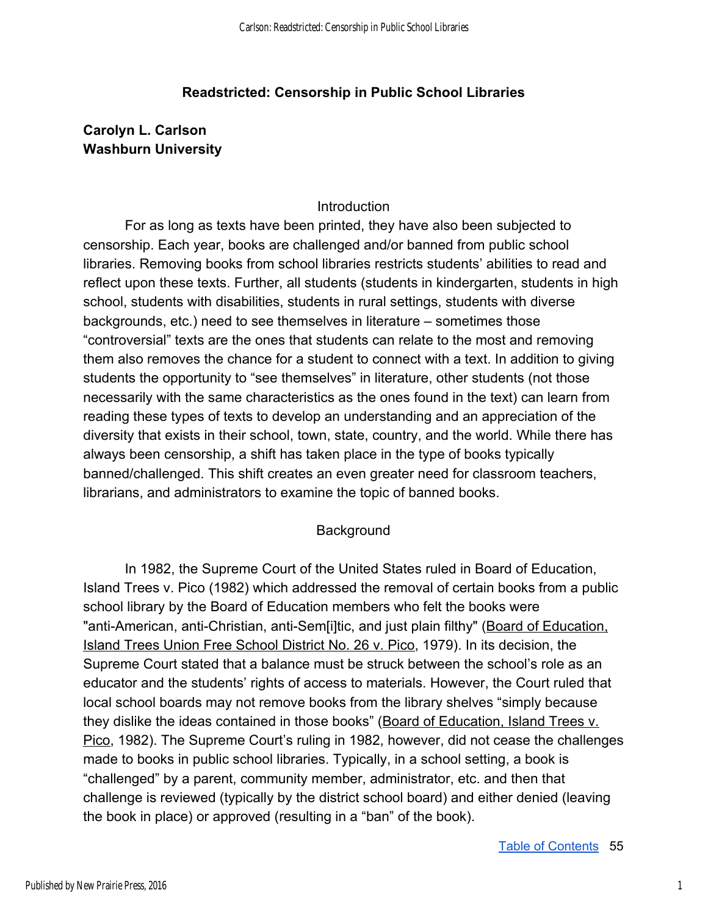## **Readstricted: Censorship in Public School Libraries**

# **Carolyn L. Carlson Washburn University**

## **Introduction**

For as long as texts have been printed, they have also been subjected to censorship. Each year, books are challenged and/or banned from public school libraries. Removing books from school libraries restricts students' abilities to read and reflect upon these texts. Further, all students (students in kindergarten, students in high school, students with disabilities, students in rural settings, students with diverse backgrounds, etc.) need to see themselves in literature – sometimes those "controversial" texts are the ones that students can relate to the most and removing them also removes the chance for a student to connect with a text. In addition to giving students the opportunity to "see themselves" in literature, other students (not those necessarily with the same characteristics as the ones found in the text) can learn from reading these types of texts to develop an understanding and an appreciation of the diversity that exists in their school, town, state, country, and the world. While there has always been censorship, a shift has taken place in the type of books typically banned/challenged. This shift creates an even greater need for classroom teachers, librarians, and administrators to examine the topic of banned books.

### **Background**

In 1982, the Supreme Court of the United States ruled in Board of Education, Island Trees v. Pico (1982) which addressed the removal of certain books from a public school library by the Board of Education members who felt the books were "anti-American, anti-Christian, anti-Sem[i]tic, and just plain filthy" (Board of Education, Island Trees Union Free School District No. 26 v. Pico, 1979). In its decision, the Supreme Court stated that a balance must be struck between the school's role as an educator and the students' rights of access to materials. However, the Court ruled that local school boards may not remove books from the library shelves "simply because they dislike the ideas contained in those books" (Board of Education, Island Trees v. Pico, 1982). The Supreme Court's ruling in 1982, however, did not cease the challenges made to books in public school libraries. Typically, in a school setting, a book is "challenged" by a parent, community member, administrator, etc. and then that challenge is reviewed (typically by the district school board) and either denied (leaving the book in place) or approved (resulting in a "ban" of the book).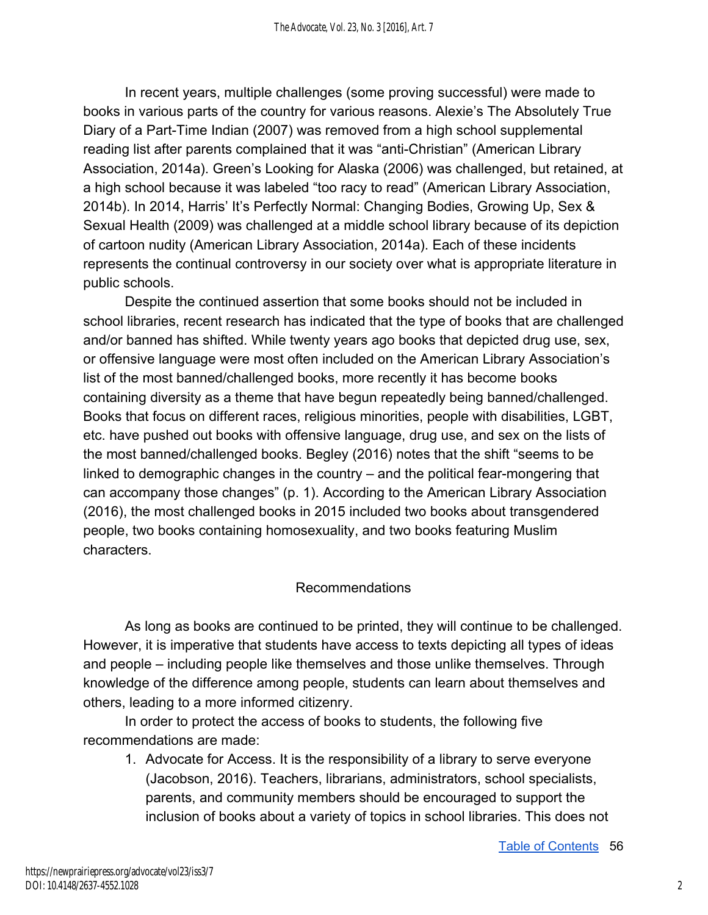In recent years, multiple challenges (some proving successful) were made to books in various parts of the country for various reasons. Alexie's The Absolutely True Diary of a Part-Time Indian (2007) was removed from a high school supplemental reading list after parents complained that it was "anti-Christian" (American Library Association, 2014a). Green's Looking for Alaska (2006) was challenged, but retained, at a high school because it was labeled "too racy to read" (American Library Association, 2014b). In 2014, Harris' It's Perfectly Normal: Changing Bodies, Growing Up, Sex & Sexual Health (2009) was challenged at a middle school library because of its depiction of cartoon nudity (American Library Association, 2014a). Each of these incidents represents the continual controversy in our society over what is appropriate literature in public schools.

Despite the continued assertion that some books should not be included in school libraries, recent research has indicated that the type of books that are challenged and/or banned has shifted. While twenty years ago books that depicted drug use, sex, or offensive language were most often included on the American Library Association's list of the most banned/challenged books, more recently it has become books containing diversity as a theme that have begun repeatedly being banned/challenged. Books that focus on different races, religious minorities, people with disabilities, LGBT, etc. have pushed out books with offensive language, drug use, and sex on the lists of the most banned/challenged books. Begley (2016) notes that the shift "seems to be linked to demographic changes in the country – and the political fear-mongering that can accompany those changes" (p. 1). According to the American Library Association (2016), the most challenged books in 2015 included two books about transgendered people, two books containing homosexuality, and two books featuring Muslim characters.

# Recommendations

As long as books are continued to be printed, they will continue to be challenged. However, it is imperative that students have access to texts depicting all types of ideas and people – including people like themselves and those unlike themselves. Through knowledge of the difference among people, students can learn about themselves and others, leading to a more informed citizenry.

In order to protect the access of books to students, the following five recommendations are made:

1. Advocate for Access. It is the responsibility of a library to serve everyone (Jacobson, 2016). Teachers, librarians, administrators, school specialists, parents, and community members should be encouraged to support the inclusion of books about a variety of topics in school libraries. This does not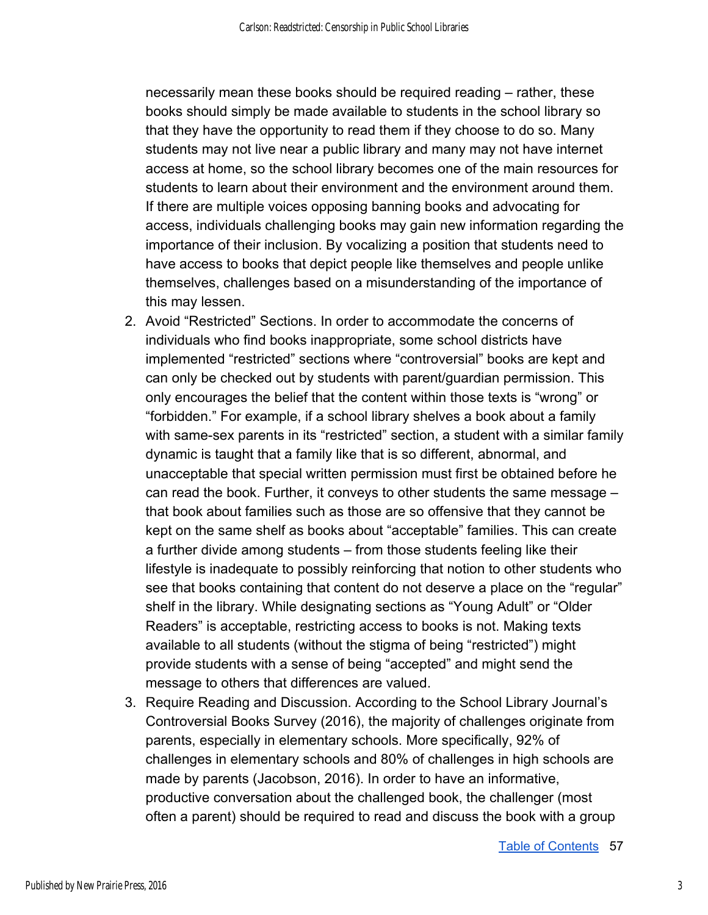necessarily mean these books should be required reading – rather, these books should simply be made available to students in the school library so that they have the opportunity to read them if they choose to do so. Many students may not live near a public library and many may not have internet access at home, so the school library becomes one of the main resources for students to learn about their environment and the environment around them. If there are multiple voices opposing banning books and advocating for access, individuals challenging books may gain new information regarding the importance of their inclusion. By vocalizing a position that students need to have access to books that depict people like themselves and people unlike themselves, challenges based on a misunderstanding of the importance of this may lessen.

- 2. Avoid "Restricted" Sections. In order to accommodate the concerns of individuals who find books inappropriate, some school districts have implemented "restricted" sections where "controversial" books are kept and can only be checked out by students with parent/guardian permission. This only encourages the belief that the content within those texts is "wrong" or "forbidden." For example, if a school library shelves a book about a family with same-sex parents in its "restricted" section, a student with a similar family dynamic is taught that a family like that is so different, abnormal, and unacceptable that special written permission must first be obtained before he can read the book. Further, it conveys to other students the same message – that book about families such as those are so offensive that they cannot be kept on the same shelf as books about "acceptable" families. This can create a further divide among students – from those students feeling like their lifestyle is inadequate to possibly reinforcing that notion to other students who see that books containing that content do not deserve a place on the "regular" shelf in the library. While designating sections as "Young Adult" or "Older Readers" is acceptable, restricting access to books is not. Making texts available to all students (without the stigma of being "restricted") might provide students with a sense of being "accepted" and might send the message to others that differences are valued.
- 3. Require Reading and Discussion. According to the School Library Journal's Controversial Books Survey (2016), the majority of challenges originate from parents, especially in elementary schools. More specifically, 92% of challenges in elementary schools and 80% of challenges in high schools are made by parents (Jacobson, 2016). In order to have an informative, productive conversation about the challenged book, the challenger (most often a parent) should be required to read and discuss the book with a group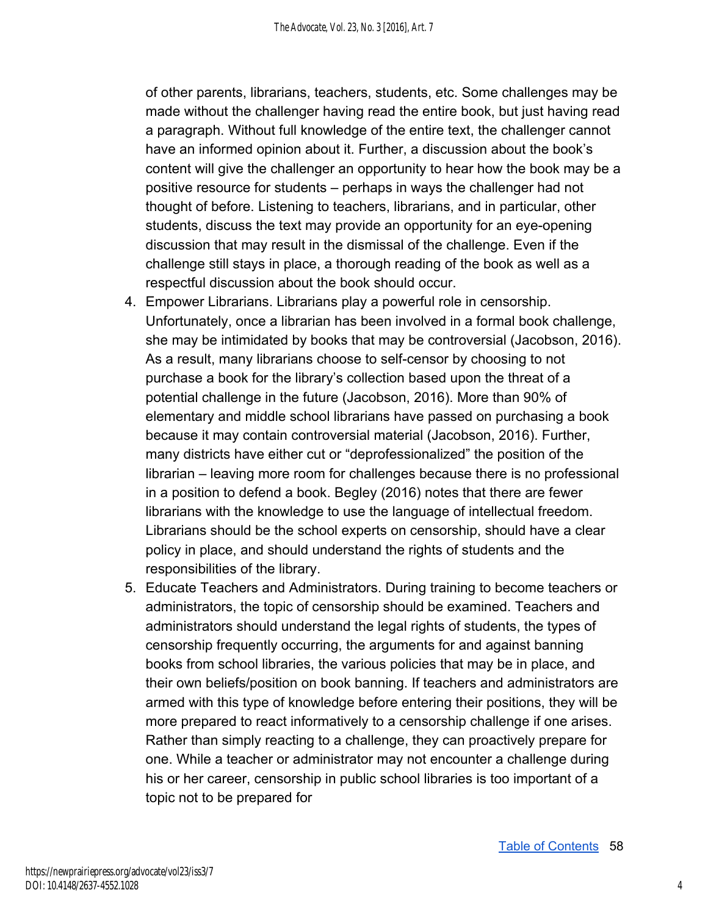of other parents, librarians, teachers, students, etc. Some challenges may be made without the challenger having read the entire book, but just having read a paragraph. Without full knowledge of the entire text, the challenger cannot have an informed opinion about it. Further, a discussion about the book's content will give the challenger an opportunity to hear how the book may be a positive resource for students – perhaps in ways the challenger had not thought of before. Listening to teachers, librarians, and in particular, other students, discuss the text may provide an opportunity for an eye-opening discussion that may result in the dismissal of the challenge. Even if the challenge still stays in place, a thorough reading of the book as well as a respectful discussion about the book should occur.

- 4. Empower Librarians. Librarians play a powerful role in censorship. Unfortunately, once a librarian has been involved in a formal book challenge, she may be intimidated by books that may be controversial (Jacobson, 2016). As a result, many librarians choose to self-censor by choosing to not purchase a book for the library's collection based upon the threat of a potential challenge in the future (Jacobson, 2016). More than 90% of elementary and middle school librarians have passed on purchasing a book because it may contain controversial material (Jacobson, 2016). Further, many districts have either cut or "deprofessionalized" the position of the librarian – leaving more room for challenges because there is no professional in a position to defend a book. Begley (2016) notes that there are fewer librarians with the knowledge to use the language of intellectual freedom. Librarians should be the school experts on censorship, should have a clear policy in place, and should understand the rights of students and the responsibilities of the library.
- 5. Educate Teachers and Administrators. During training to become teachers or administrators, the topic of censorship should be examined. Teachers and administrators should understand the legal rights of students, the types of censorship frequently occurring, the arguments for and against banning books from school libraries, the various policies that may be in place, and their own beliefs/position on book banning. If teachers and administrators are armed with this type of knowledge before entering their positions, they will be more prepared to react informatively to a censorship challenge if one arises. Rather than simply reacting to a challenge, they can proactively prepare for one. While a teacher or administrator may not encounter a challenge during his or her career, censorship in public school libraries is too important of a topic not to be prepared for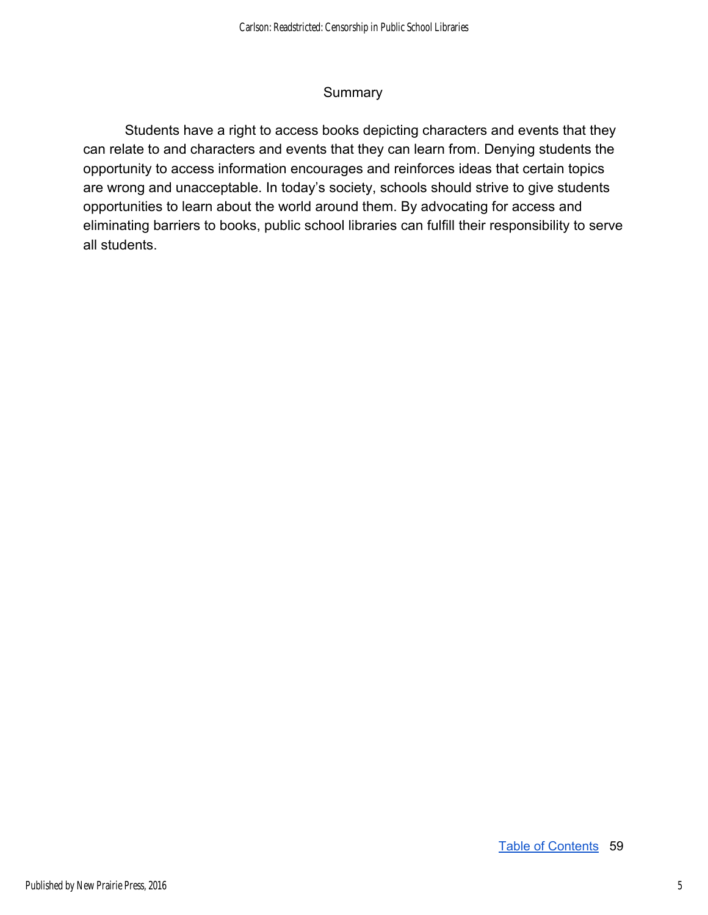## **Summary**

Students have a right to access books depicting characters and events that they can relate to and characters and events that they can learn from. Denying students the opportunity to access information encourages and reinforces ideas that certain topics are wrong and unacceptable. In today's society, schools should strive to give students opportunities to learn about the world around them. By advocating for access and eliminating barriers to books, public school libraries can fulfill their responsibility to serve all students.